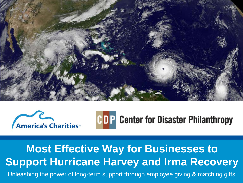





### **Most Effective Way for Businesses to Support Hurricane Harvey and Irma Recovery**

Unleashing the power of long-term support through employee giving & matching gifts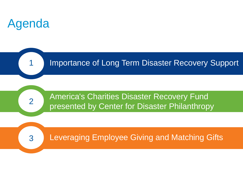

1

2

3

#### Importance of Long Term Disaster Recovery Support

America's Charities Disaster Recovery Fund presented by Center for Disaster Philanthropy

Leveraging Employee Giving and Matching Gifts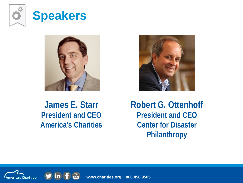





**James E. Starr President and CEO America's Charities** **Robert G. Ottenhoff President and CEO Center for Disaster Philanthropy** 



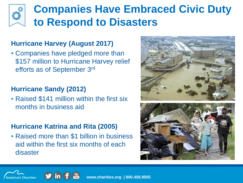## **Companies Have Embraced Civic Duty to Respond to Disasters**

#### **Hurricane Harvey (August 2017)**

• Companies have pledged more than \$157 million to Hurricane Harvey relief efforts as of September 3rd

#### **Hurricane Sandy (2012)**

• Raised \$141 million within the first six months in business aid

#### **Hurricane Katrina and Rita (2005)**

• Raised more than \$1 billion in business aid within the first six months of each disaster







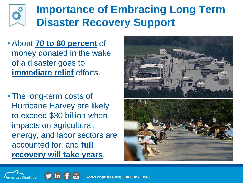

## **Importance of Embracing Long Term Disaster Recovery Support**

- About **70 to 80 percent** of money donated in the wake of a disaster goes to **immediate relief** efforts.
- The long-term costs of Hurricane Harvey are likely to exceed \$30 billion when impacts on agricultural, energy, and labor sectors are accounted for, and **full recovery will take years**.





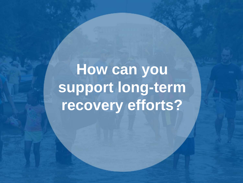How can you **support long-term recovery efforts?**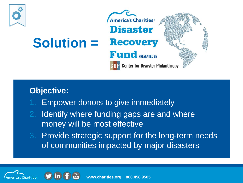

#### **Objective:**

- Empower donors to give immediately
- 2. Identify where funding gaps are and where money will be most effective
- 3. Provide strategic support for the long-term needs of communities impacted by major disasters



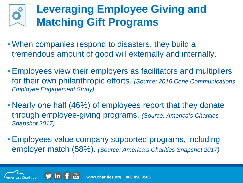## **Leveraging Employee Giving and Matching Gift Programs**

- When companies respond to disasters, they build a tremendous amount of good will externally and internally.
- Employees view their employers as facilitators and multipliers for their own philanthropic efforts. *(Source: 2016 Cone Communications Employee Engagement Study)*
- Nearly one half (46%) of employees report that they donate through employee-giving programs. *(Source: America's Charities Snapshot 2017)*
- Employees value company supported programs, including employer match (58%). *(Source: America's Charities Snapshot 2017)*



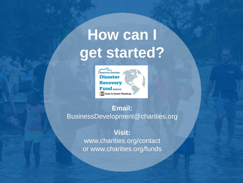## **How can I get started?**



#### **Email:**  BusinessDevelopment@charities.org

**Visit:** www.charities.org/contact or www.charities.org/funds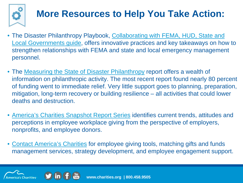

## **More Resources to Help You Take Action:**

- The Disaster Philanthropy Playbook, Collaborating with FEMA, HUD, State and [Local Governments guide, offers innovative practices and key takeaways on ho](http://link.email.dynect.net/link.php?DynEngagement=true&H=UvL%2BUTX4HmCMy%2BAkbY8i27tXRXvL3WZRD49FwLqwgW3jp2FJvA%2Bi0Ukl2Ymyi908ZiS/DZfrd4mF8E/xaIOlzlPWaVEY03ZgEWryX5CqjPMpLBbCL2AKGQ%3D%3D&G=0&R=https://app.hatchbuck.com/TrackLinkClick?ID2%3D8gPiedOHDarlPodV0C1bDzUrKt4JXwBNh7RzUyFyOBSa8HQoCaELqAw4nZxutHnS0&I=20170908221912.000001ddd41b@mail6-65-ussnn1&X=MHwxMTM2MTk0OjMwMjAxNzQ3OTsxfDExMzYxOTU6NDE2OTk2ODE7&S=IaxK640DfWtvyd-QmkttQR0gbYoSBwpDXi9j0lymEyg)w to strengthen relationships with FEMA and state and local emergency management personnel.
- The [Measuring the State of Disaster Philanthropy](http://link.email.dynect.net/link.php?DynEngagement=true&H=ltqmAiFyUus3V9RIZo7G2GvP5ZEKnzR2GJf36yV3Tq90eojjUhoSCC9KFkkWNeqBtYHiyeEgVRFGsfabwAIG1EZkD%2Bn1sVT91Aa/xS4fwBWggL/edHUlgg%3D%3D&G=0&R=https://app.hatchbuck.com/TrackLinkClick?ID2%3DrFlSuAxnmIYS9I3oCRk0ktjNsvC5bW8XzdBPrH7vVlrVdcb7bVkx-ZqVh4UhWV7W0&I=20170906144653.00000195cfeb@mail6-61-ussnn1&X=MHwxMTM2MTk0OjI5OTk1NjM3NDsxfDExMzYxOTU6NDE1MzkwNTM7&S=y_dEjqjsdkpB1nkDFSU6kEoa3UawDvMLCMVuw88HbJg) report offers a wealth of information on philanthropic activity. The most recent report found nearly 80 percent of funding went to immediate relief. Very little support goes to planning, preparation, mitigation, long-term recovery or building resilience – all activities that could lower deaths and destruction.
- [America's Charities Snapshot Report Series](https://www.charities.org/giving-trends) identifies current trends, attitudes and perceptions in employee workplace giving from the perspective of employers, nonprofits, and employee donors.
- [Contact America's Charities](https://www.charities.org/contact-employee-corporate-giving-engagement) for employee giving tools, matching gifts and funds management services, strategy development, and employee engagement support.



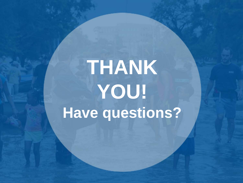# **THANK YOU! Have questions?**